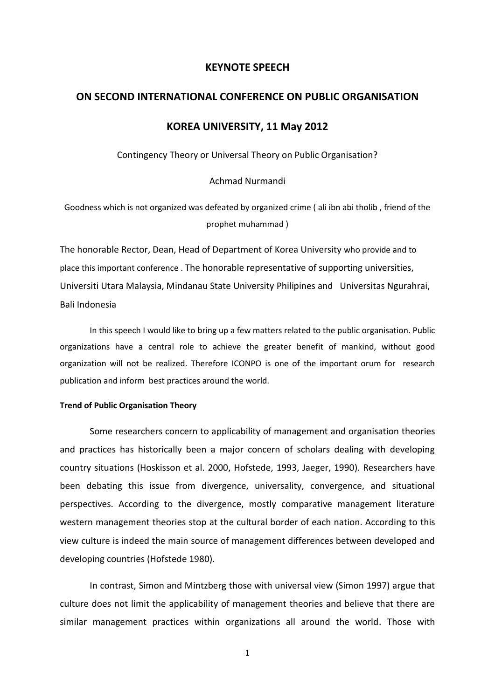#### **KEYNOTE SPEECH**

# **ON SECOND INTERNATIONAL CONFERENCE ON PUBLIC ORGANISATION**

## **KOREA UNIVERSITY, 11 May 2012**

Contingency Theory or Universal Theory on Public Organisation?

Achmad Nurmandi

Goodness which is not organized was defeated by organized crime ( ali ibn abi tholib , friend of the prophet muhammad )

The honorable Rector, Dean, Head of Department of Korea University who provide and to place this important conference . The honorable representative of supporting universities, Universiti Utara Malaysia, Mindanau State University Philipines and Universitas Ngurahrai, Bali Indonesia

In this speech I would like to bring up a few matters related to the public organisation. Public organizations have a central role to achieve the greater benefit of mankind, without good organization will not be realized. Therefore ICONPO is one of the important orum for research publication and inform best practices around the world.

### **Trend of Public Organisation Theory**

Some researchers concern to applicability of management and organisation theories and practices has historically been a major concern of scholars dealing with developing country situations (Hoskisson et al. 2000, Hofstede, 1993, Jaeger, 1990). Researchers have been debating this issue from divergence, universality, convergence, and situational perspectives. According to the divergence, mostly comparative management literature western management theories stop at the cultural border of each nation. According to this view culture is indeed the main source of management differences between developed and developing countries (Hofstede 1980).

In contrast, Simon and Mintzberg those with universal view (Simon 1997) argue that culture does not limit the applicability of management theories and believe that there are similar management practices within organizations all around the world. Those with

1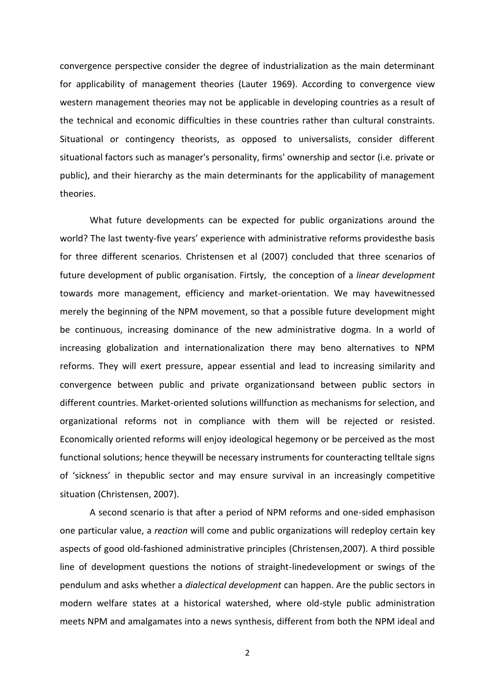convergence perspective consider the degree of industrialization as the main determinant for applicability of management theories (Lauter 1969). According to convergence view western management theories may not be applicable in developing countries as a result of the technical and economic difficulties in these countries rather than cultural constraints. Situational or contingency theorists, as opposed to universalists, consider different situational factors such as manager's personality, firms' ownership and sector (i.e. private or public), and their hierarchy as the main determinants for the applicability of management theories.

What future developments can be expected for public organizations around the world? The last twenty-five years' experience with administrative reforms providesthe basis for three different scenarios. Christensen et al (2007) concluded that three scenarios of future development of public organisation. Firtsly, the conception of a *linear development* towards more management, efficiency and market-orientation. We may havewitnessed merely the beginning of the NPM movement, so that a possible future development might be continuous, increasing dominance of the new administrative dogma. In a world of increasing globalization and internationalization there may beno alternatives to NPM reforms. They will exert pressure, appear essential and lead to increasing similarity and convergence between public and private organizationsand between public sectors in different countries. Market-oriented solutions willfunction as mechanisms for selection, and organizational reforms not in compliance with them will be rejected or resisted. Economically oriented reforms will enjoy ideological hegemony or be perceived as the most functional solutions; hence theywill be necessary instruments for counteracting telltale signs of 'sickness' in thepublic sector and may ensure survival in an increasingly competitive situation (Christensen, 2007).

A second scenario is that after a period of NPM reforms and one-sided emphasison one particular value, a *reaction* will come and public organizations will redeploy certain key aspects of good old-fashioned administrative principles (Christensen,2007). A third possible line of development questions the notions of straight-linedevelopment or swings of the pendulum and asks whether a *dialectical development* can happen. Are the public sectors in modern welfare states at a historical watershed, where old-style public administration meets NPM and amalgamates into a news synthesis, different from both the NPM ideal and

2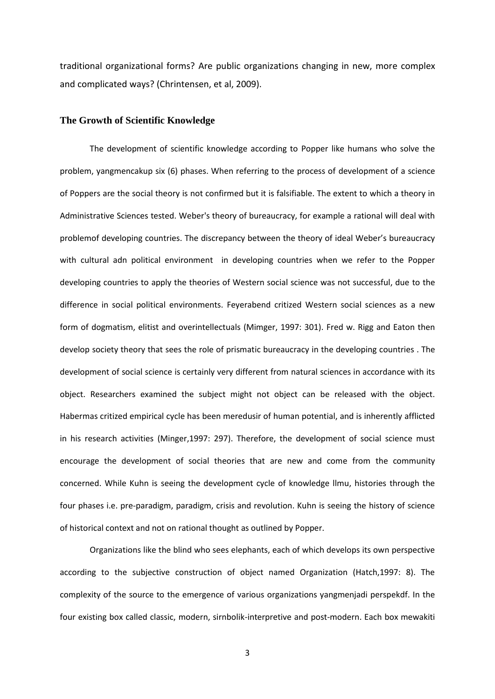traditional organizational forms? Are public organizations changing in new, more complex and complicated ways? (Chrintensen, et al, 2009).

### **The Growth of Scientific Knowledge**

The development of scientific knowledge according to Popper like humans who solve the problem, yangmencakup six (6) phases. When referring to the process of development of a science of Poppers are the social theory is not confirmed but it is falsifiable. The extent to which a theory in Administrative Sciences tested. Weber's theory of bureaucracy, for example a rational will deal with problemof developing countries. The discrepancy between the theory of ideal Weber's bureaucracy with cultural adn political environment in developing countries when we refer to the Popper developing countries to apply the theories of Western social science was not successful, due to the difference in social political environments. Feyerabend critized Western social sciences as a new form of dogmatism, elitist and overintellectuals (Mimger, 1997: 301). Fred w. Rigg and Eaton then develop society theory that sees the role of prismatic bureaucracy in the developing countries . The development of social science is certainly very different from natural sciences in accordance with its object. Researchers examined the subject might not object can be released with the object. Habermas critized empirical cycle has been meredusir of human potential, and is inherently afflicted in his research activities (Minger,1997: 297). Therefore, the development of social science must encourage the development of social theories that are new and come from the community concerned. While Kuhn is seeing the development cycle of knowledge llmu, histories through the four phases i.e. pre-paradigm, paradigm, crisis and revolution. Kuhn is seeing the history of science of historical context and not on rational thought as outlined by Popper.

Organizations like the blind who sees elephants, each of which develops its own perspective according to the subjective construction of object named Organization (Hatch,1997: 8). The complexity of the source to the emergence of various organizations yangmenjadi perspekdf. In the four existing box called classic, modern, sirnbolik-interpretive and post-modern. Each box mewakiti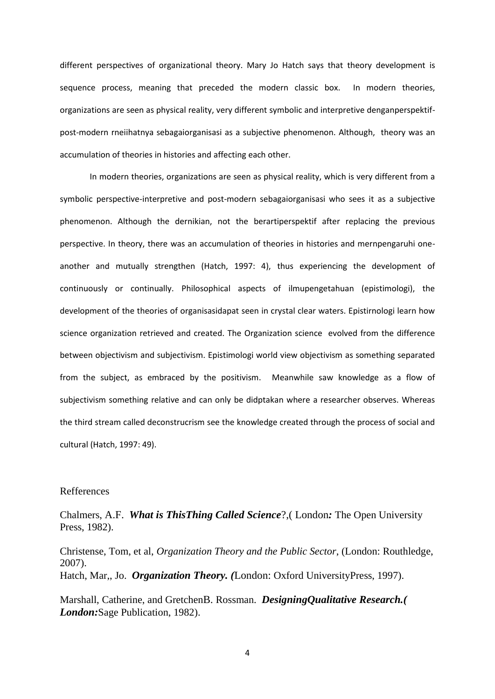different perspectives of organizational theory. Mary Jo Hatch says that theory development is sequence process, meaning that preceded the modern classic box. In modern theories, organizations are seen as physical reality, very different symbolic and interpretive denganperspektifpost-modern rneiihatnya sebagaiorganisasi as a subjective phenomenon. Although, theory was an accumulation of theories in histories and affecting each other.

In modern theories, organizations are seen as physical reality, which is very different from a symbolic perspective-interpretive and post-modern sebagaiorganisasi who sees it as a subjective phenomenon. Although the dernikian, not the berartiperspektif after replacing the previous perspective. In theory, there was an accumulation of theories in histories and mernpengaruhi oneanother and mutually strengthen (Hatch, 1997: 4), thus experiencing the development of continuously or continually. Philosophical aspects of ilmupengetahuan (epistimologi), the development of the theories of organisasidapat seen in crystal clear waters. Epistirnologi learn how science organization retrieved and created. The Organization science evolved from the difference between objectivism and subjectivism. Epistimologi world view objectivism as something separated from the subject, as embraced by the positivism. Meanwhile saw knowledge as a flow of subjectivism something relative and can only be didptakan where a researcher observes. Whereas the third stream called deconstrucrism see the knowledge created through the process of social and cultural (Hatch, 1997: 49).

#### Refferences

Chalmers, A.F. *What is ThisThing Called Science*?,( London*:* The Open University Press, 1982).

Christense, Tom, et al, *Organization Theory and the Public Sector*, (London: Routhledge, 2007). Hatch, Mar,, Jo. *Organization Theory. (*London: Oxford UniversityPress, 1997).

Marshall, Catherine, and GretchenB. Rossman. *DesigningQualitative Research.( London:*Sage Publication, 1982).

4